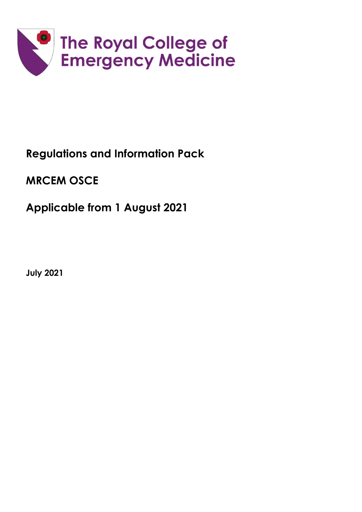

# **Regulations and Information Pack**

**MRCEM OSCE**

**Applicable from 1 August 2021**

**July 2021**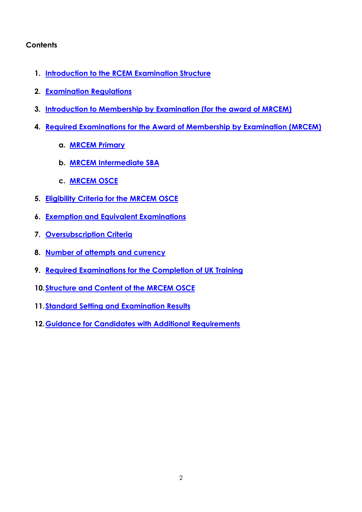## **Contents**

- **1. Introduction to the RCEM Examination Structure**
- **2. Examination Regulations**
- **3. [Introduction to Membership by Examination \(for the award of MRCEM\)](#page-3-0)**
- **4. [Required Examinations for the Award of Membership by Examination \(MRCEM\)](#page-4-0)**
	- **a. [MRCEM Primary](#page-4-1)**
	- **b. MRCEM Intermediate SBA**
	- **c. [MRCEM OSCE](#page-4-2)**
- **5. [Eligibility Criteria for the MRCEM OSCE](#page-5-0)**
- **6. [Exemption and Equivalent Examinations](#page-5-1)**
- **7. [Oversubscription Criteria](#page-6-0)**
- **8. [Number of attempts and currency](#page-6-1)**
- **9. [Required Examinations for the Completion of UK Training](#page-4-0)**
- **10[.Structure and Content of the MRCEM OSCE](#page-7-0)**
- **11.Standard Setting [and Examination Results](#page-8-0)**
- **12[.Guidance for Candidates with Additional Requirements](#page-9-0)**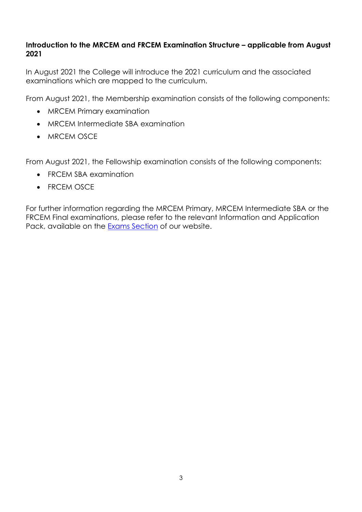## **Introduction to the MRCEM and FRCEM Examination Structure – applicable from August 2021**

In August 2021 the College will introduce the 2021 curriculum and the associated examinations which are mapped to the curriculum.

From August 2021, the Membership examination consists of the following components:

- MRCEM Primary examination
- MRCEM Intermediate SBA examination
- MRCEM OSCE

From August 2021, the Fellowship examination consists of the following components:

- FRCEM SBA examination
- FRCEM OSCE

For further information regarding the MRCEM Primary, MRCEM Intermediate SBA or the FRCEM Final examinations, please refer to the relevant Information and Application Pack, available on the [Exams Section](http://www.rcem.ac.uk/Training-Exams/Exams) of our website.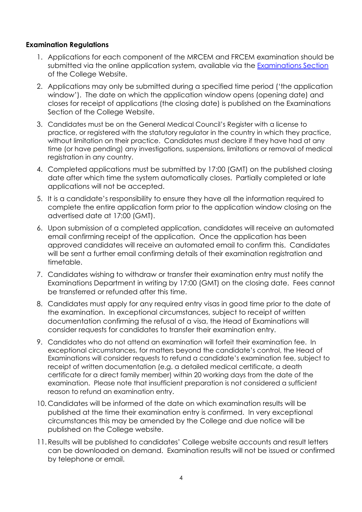#### <span id="page-3-0"></span>**Examination Regulations**

- 1. Applications for each component of the MRCEM and FRCEM examination should be submitted via the online application system, available via the [Examinations Section](http://www.rcem.ac.uk/Training-Exams/Exams) of the College Website.
- 2. Applications may only be submitted during a specified time period ('the application window'). The date on which the application window opens (opening date) and closes for receipt of applications (the closing date) is published on the Examinations Section of the College Website.
- 3. Candidates must be on the General Medical Council's Register with a license to practice, or registered with the statutory regulator in the country in which they practice, without limitation on their practice. Candidates must declare if they have had at any time (or have pending) any investigations, suspensions, limitations or removal of medical registration in any country.
- 4. Completed applications must be submitted by 17:00 (GMT) on the published closing date after which time the system automatically closes. Partially completed or late applications will not be accepted.
- 5. It is a candidate's responsibility to ensure they have all the information required to complete the entire application form prior to the application window closing on the advertised date at 17:00 (GMT).
- 6. Upon submission of a completed application, candidates will receive an automated email confirming receipt of the application. Once the application has been approved candidates will receive an automated email to confirm this. Candidates will be sent a further email confirming details of their examination registration and timetable.
- 7. Candidates wishing to withdraw or transfer their examination entry must notify the Examinations Department in writing by 17:00 (GMT) on the closing date. Fees cannot be transferred or refunded after this time.
- 8. Candidates must apply for any required entry visas in good time prior to the date of the examination. In exceptional circumstances, subject to receipt of written documentation confirming the refusal of a visa, the Head of Examinations will consider requests for candidates to transfer their examination entry.
- 9. Candidates who do not attend an examination will forfeit their examination fee. In exceptional circumstances, for matters beyond the candidate's control, the Head of Examinations will consider requests to refund a candidate's examination fee, subject to receipt of written documentation (e.g. a detailed medical certificate, a death certificate for a direct family member) within 20 working days from the date of the examination. Please note that insufficient preparation is not considered a sufficient reason to refund an examination entry.
- 10. Candidates will be informed of the date on which examination results will be published at the time their examination entry is confirmed. In very exceptional circumstances this may be amended by the College and due notice will be published on the College website.
- 11.Results will be published to candidates' College website accounts and result letters can be downloaded on demand. Examination results will not be issued or confirmed by telephone or email.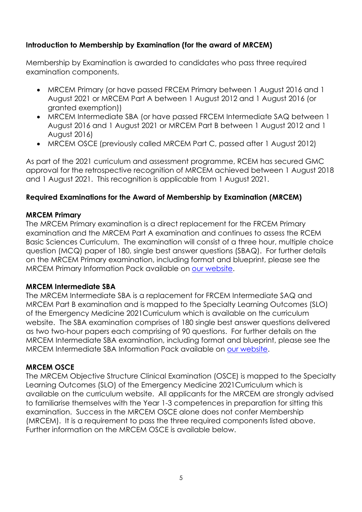# **Introduction to Membership by Examination (for the award of MRCEM)**

Membership by Examination is awarded to candidates who pass three required examination components.

- MRCEM Primary (or have passed FRCEM Primary between 1 August 2016 and 1 August 2021 or MRCEM Part A between 1 August 2012 and 1 August 2016 (or granted exemption))
- MRCEM Intermediate SBA (or have passed FRCEM Intermediate SAQ between 1 August 2016 and 1 August 2021 or MRCEM Part B between 1 August 2012 and 1 August 2016)
- MRCEM OSCE (previously called MRCEM Part C, passed after 1 August 2012)

As part of the 2021 curriculum and assessment programme, RCEM has secured GMC approval for the retrospective recognition of MRCEM achieved between 1 August 2018 and 1 August 2021. This recognition is applicable from 1 August 2021.

## <span id="page-4-0"></span>**Required Examinations for the Award of Membership by Examination (MRCEM)**

#### <span id="page-4-1"></span>**MRCEM Primary**

The MRCEM Primary examination is a direct replacement for the FRCEM Primary examination and the MRCEM Part A examination and continues to assess the RCEM Basic Sciences Curriculum. The examination will consist of a three hour, multiple choice question (MCQ) paper of 180, single best answer questions (SBAQ). For further details on the MRCEM Primary examination, including format and blueprint, please see the MRCEM Primary Information Pack available on [our website.](http://www.rcem.ac.uk/Training-Exams/Exams)

#### **MRCEM Intermediate SBA**

The MRCEM Intermediate SBA is a replacement for FRCEM Intermediate SAQ and MRCEM Part B examination and is mapped to the Specialty Learning Outcomes (SLO) of the Emergency Medicine 2021Curriculum which is available on the curriculum website. The SBA examination comprises of 180 single best answer questions delivered as two two-hour papers each comprising of 90 questions. For further details on the MRCEM Intermediate SBA examination, including format and blueprint, please see the MRCEM Intermediate SBA Information Pack available on [our website.](http://www.rcem.ac.uk/Training-Exams/Exams)

#### <span id="page-4-2"></span>**MRCEM OSCE**

The MRCEM Objective Structure Clinical Examination (OSCE) is mapped to the Specialty Learning Outcomes (SLO) of the Emergency Medicine 2021Curriculum which is available on the curriculum website. All applicants for the MRCEM are strongly advised to familiarise themselves with the Year 1-3 competences in preparation for sitting this examination. Success in the MRCEM OSCE alone does not confer Membership (MRCEM). It is a requirement to pass the three required components listed above. Further information on the MRCEM OSCE is available below.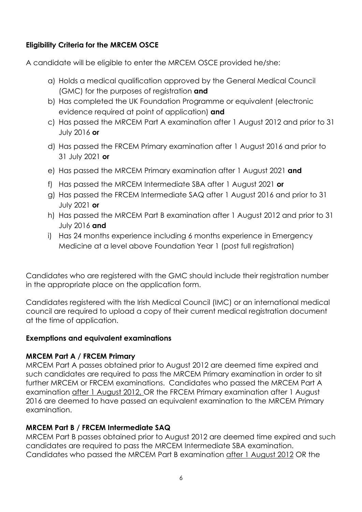# <span id="page-5-0"></span>**Eligibility Criteria for the MRCEM OSCE**

A candidate will be eligible to enter the MRCEM OSCE provided he/she:

- a) Holds a medical qualification approved by the General Medical Council (GMC) for the purposes of registration **and**
- b) Has completed the UK Foundation Programme or equivalent (electronic evidence required at point of application) **and**
- c) Has passed the MRCEM Part A examination after 1 August 2012 and prior to 31 July 2016 **or**
- d) Has passed the FRCEM Primary examination after 1 August 2016 and prior to 31 July 2021 **or**
- e) Has passed the MRCEM Primary examination after 1 August 2021 **and**
- f) Has passed the MRCEM Intermediate SBA after 1 August 2021 **or**
- g) Has passed the FRCEM Intermediate SAQ after 1 August 2016 and prior to 31 July 2021 **or**
- h) Has passed the MRCEM Part B examination after 1 August 2012 and prior to 31 July 2016 **and**
- i) Has 24 months experience including 6 months experience in Emergency Medicine at a level above Foundation Year 1 (post full registration)

Candidates who are registered with the GMC should include their registration number in the appropriate place on the application form.

Candidates registered with the Irish Medical Council (IMC) or an international medical council are required to upload a copy of their current medical registration document at the time of application.

## <span id="page-5-1"></span>**Exemptions and equivalent examinations**

## **MRCEM Part A / FRCEM Primary**

MRCEM Part A passes obtained prior to August 2012 are deemed time expired and such candidates are required to pass the MRCEM Primary examination in order to sit further MRCEM or FRCEM examinations. Candidates who passed the MRCEM Part A examination after 1 August 2012, OR the FRCEM Primary examination after 1 August 2016 are deemed to have passed an equivalent examination to the MRCEM Primary examination.

# **MRCEM Part B / FRCEM Intermediate SAQ**

MRCEM Part B passes obtained prior to August 2012 are deemed time expired and such candidates are required to pass the MRCEM Intermediate SBA examination. Candidates who passed the MRCEM Part B examination after 1 August 2012 OR the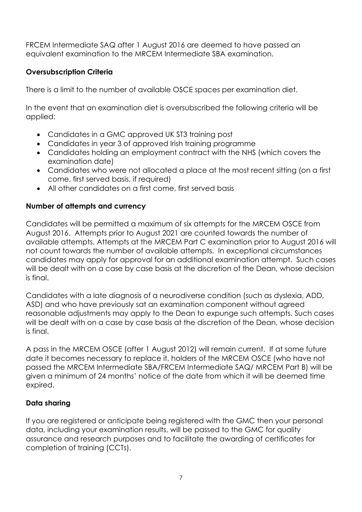FRCEM Intermediate SAQ after 1 August 2016 are deemed to have passed an equivalent examination to the MRCEM Intermediate SBA examination.

# <span id="page-6-0"></span>**Oversubscription Criteria**

There is a limit to the number of available OSCE spaces per examination diet.

In the event that an examination diet is oversubscribed the following criteria will be applied:

- Candidates in a GMC approved UK ST3 training post
- Candidates in year 3 of approved Irish training programme
- Candidates holding an employment contract with the NHS (which covers the examination date)
- Candidates who were not allocated a place at the most recent sitting (on a first come, first served basis, if required)
- All other candidates on a first come, first served basis

# <span id="page-6-1"></span>**Number of attempts and currency**

Candidates will be permitted a maximum of six attempts for the MRCEM OSCE from August 2016. Attempts prior to August 2021 are counted towards the number of available attempts. Attempts at the MRCEM Part C examination prior to August 2016 will not count towards the number of available attempts. In exceptional circumstances candidates may apply for approval for an additional examination attempt. Such cases will be dealt with on a case by case basis at the discretion of the Dean, whose decision is final.

Candidates with a late diagnosis of a neurodiverse condition (such as dyslexia, ADD, ASD) and who have previously sat an examination component without agreed reasonable adjustments may apply to the Dean to expunge such attempts. Such cases will be dealt with on a case by case basis at the discretion of the Dean, whose decision is final.

A pass in the MRCEM OSCE (after 1 August 2012) will remain current. If at some future date it becomes necessary to replace it, holders of the MRCEM OSCE (who have not passed the MRCEM Intermediate SBA/FRCEM Intermediate SAQ/ MRCEM Part B) will be given a minimum of 24 months' notice of the date from which it will be deemed time expired.

# **Data sharing**

If you are registered or anticipate being registered with the GMC then your personal data, including your examination results, will be passed to the GMC for quality assurance and research purposes and to facilitate the awarding of certificates for completion of training (CCTs).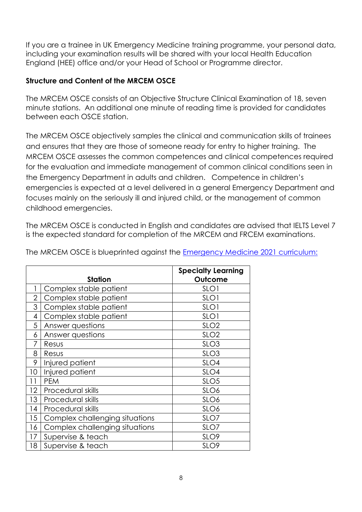If you are a trainee in UK Emergency Medicine training programme, your personal data, including your examination results will be shared with your local Health Education England (HEE) office and/or your Head of School or Programme director.

## <span id="page-7-0"></span>**Structure and Content of the MRCEM OSCE**

The MRCEM OSCE consists of an Objective Structure Clinical Examination of 18, seven minute stations. An additional one minute of reading time is provided for candidates between each OSCE station.

The MRCEM OSCE objectively samples the clinical and communication skills of trainees and ensures that they are those of someone ready for entry to higher training. The MRCEM OSCE assesses the common competences and clinical competences required for the evaluation and immediate management of common clinical conditions seen in the Emergency Department in adults and children. Competence in children's emergencies is expected at a level delivered in a general Emergency Department and focuses mainly on the seriously ill and injured child, or the management of common childhood emergencies.

The MRCEM OSCE is conducted in English and candidates are advised that IELTS Level 7 is the expected standard for completion of the MRCEM and FRCEM examinations.

|                | <b>Station</b>                 | <b>Specialty Learning</b><br>Outcome |
|----------------|--------------------------------|--------------------------------------|
|                | Complex stable patient         | SLO <sub>1</sub>                     |
| $\overline{2}$ | Complex stable patient         | SLO <sub>1</sub>                     |
| 3              | Complex stable patient         | SLO <sub>1</sub>                     |
| 4              | Complex stable patient         | SLO <sub>1</sub>                     |
| 5              | Answer questions               | SLO <sub>2</sub>                     |
| 6              | Answer questions               | SLO <sub>2</sub>                     |
| 7              | Resus                          | SLO <sub>3</sub>                     |
| 8              | Resus                          | SLO <sub>3</sub>                     |
| 9              | Injured patient                | SLO4                                 |
| 10             | Injured patient                | SLO4                                 |
| 11             | <b>PEM</b>                     | SLO <sub>5</sub>                     |
| 12             | Procedural skills              | SLO <sub>6</sub>                     |
| 13             | Procedural skills              | SLO <sub>6</sub>                     |
| 14             | Procedural skills              | SLO6                                 |
| 15             | Complex challenging situations | SLO7                                 |
| 16             | Complex challenging situations | SLO7                                 |
| 17             | Supervise & teach              | SLO <sub>9</sub>                     |
| 18             | Supervise & teach              | SLO9                                 |

The MRCEM OSCE is blueprinted against the [Emergency Medicine 2021 curriculum:](https://rcemcurriculum.co.uk/)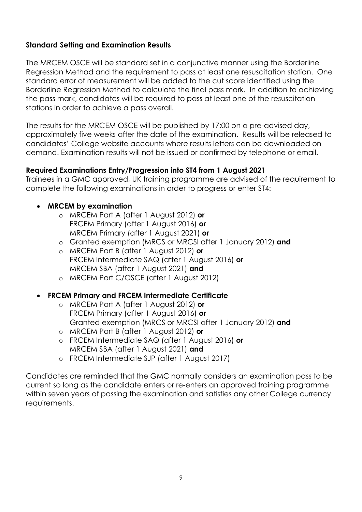## <span id="page-8-0"></span>**Standard Setting and Examination Results**

The MRCEM OSCE will be standard set in a conjunctive manner using the Borderline Regression Method and the requirement to pass at least one resuscitation station. One standard error of measurement will be added to the cut score identified using the Borderline Regression Method to calculate the final pass mark. In addition to achieving the pass mark, candidates will be required to pass at least one of the resuscitation stations in order to achieve a pass overall.

The results for the MRCEM OSCE will be published by 17:00 on a pre-advised day, approximately five weeks after the date of the examination. Results will be released to candidates' College website accounts where results letters can be downloaded on demand. Examination results will not be issued or confirmed by telephone or email.

## **Required Examinations Entry/Progression into ST4 from 1 August 2021**

Trainees in a GMC approved, UK training programme are advised of the requirement to complete the following examinations in order to progress or enter ST4:

## • **MRCEM by examination**

- o MRCEM Part A (after 1 August 2012) **or** FRCEM Primary (after 1 August 2016) **or** MRCEM Primary (after 1 August 2021) **or**
- o Granted exemption (MRCS or MRCSI after 1 January 2012) **and**
- o MRCEM Part B (after 1 August 2012) **or** FRCEM Intermediate SAQ (after 1 August 2016) **or**  MRCEM SBA (after 1 August 2021) **and**
- o MRCEM Part C/OSCE (after 1 August 2012)

## • **FRCEM Primary and FRCEM Intermediate Certificate**

- o MRCEM Part A (after 1 August 2012) **or** FRCEM Primary (after 1 August 2016) **or** Granted exemption (MRCS or MRCSI after 1 January 2012) **and**
- o MRCEM Part B (after 1 August 2012) **or**
- o FRCEM Intermediate SAQ (after 1 August 2016) **or** MRCEM SBA (after 1 August 2021) **and**
- o FRCEM Intermediate SJP (after 1 August 2017)

Candidates are reminded that the GMC normally considers an examination pass to be current so long as the candidate enters or re-enters an approved training programme within seven years of passing the examination and satisfies any other College currency requirements.